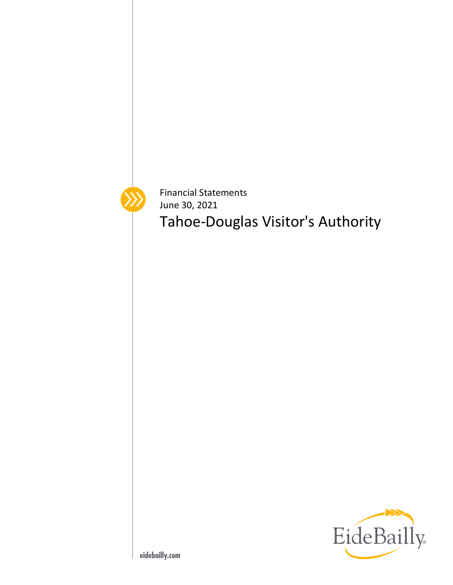

Financial Statements June 30, 2021 Tahoe-Douglas Visitor's Authority

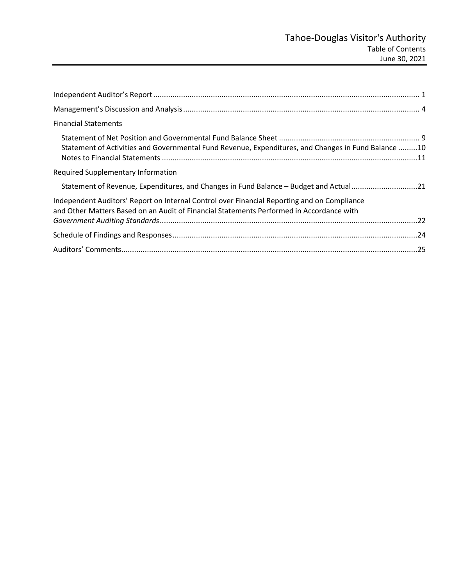| <b>Financial Statements</b>                                                                                                                                                             |
|-----------------------------------------------------------------------------------------------------------------------------------------------------------------------------------------|
| Statement of Activities and Governmental Fund Revenue, Expenditures, and Changes in Fund Balance 10                                                                                     |
| Required Supplementary Information                                                                                                                                                      |
| Statement of Revenue, Expenditures, and Changes in Fund Balance - Budget and Actual21                                                                                                   |
| Independent Auditors' Report on Internal Control over Financial Reporting and on Compliance<br>and Other Matters Based on an Audit of Financial Statements Performed in Accordance with |
|                                                                                                                                                                                         |
|                                                                                                                                                                                         |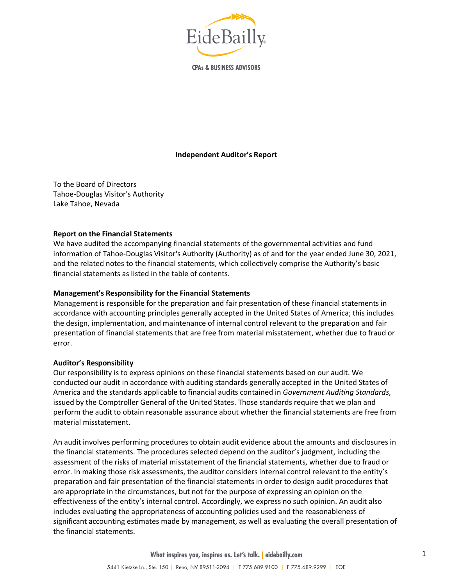

**CPAs & BUSINESS ADVISORS** 

## **Independent Auditor's Report**

<span id="page-2-0"></span>To the Board of Directors Tahoe-Douglas Visitor's Authority Lake Tahoe, Nevada

#### **Report on the Financial Statements**

We have audited the accompanying financial statements of the governmental activities and fund information of Tahoe-Douglas Visitor's Authority (Authority) as of and for the year ended June 30, 2021, and the related notes to the financial statements, which collectively comprise the Authority's basic financial statements as listed in the table of contents.

#### **Management's Responsibility for the Financial Statements**

Management is responsible for the preparation and fair presentation of these financial statements in accordance with accounting principles generally accepted in the United States of America; this includes the design, implementation, and maintenance of internal control relevant to the preparation and fair presentation of financial statements that are free from material misstatement, whether due to fraud or error.

#### **Auditor's Responsibility**

Our responsibility is to express opinions on these financial statements based on our audit. We conducted our audit in accordance with auditing standards generally accepted in the United States of America and the standards applicable to financial audits contained in *Government Auditing Standards*, issued by the Comptroller General of the United States. Those standards require that we plan and perform the audit to obtain reasonable assurance about whether the financial statements are free from material misstatement.

An audit involves performing procedures to obtain audit evidence about the amounts and disclosures in the financial statements. The procedures selected depend on the auditor's judgment, including the assessment of the risks of material misstatement of the financial statements, whether due to fraud or error. In making those risk assessments, the auditor considers internal control relevant to the entity's preparation and fair presentation of the financial statements in order to design audit procedures that are appropriate in the circumstances, but not for the purpose of expressing an opinion on the effectiveness of the entity's internal control. Accordingly, we express no such opinion. An audit also includes evaluating the appropriateness of accounting policies used and the reasonableness of significant accounting estimates made by management, as well as evaluating the overall presentation of the financial statements.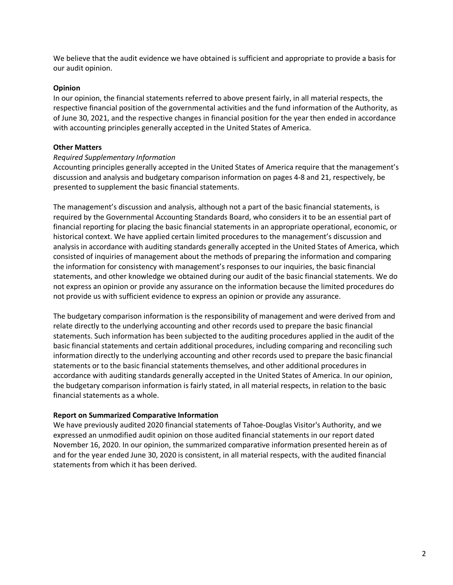We believe that the audit evidence we have obtained is sufficient and appropriate to provide a basis for our audit opinion.

## **Opinion**

In our opinion, the financial statements referred to above present fairly, in all material respects, the respective financial position of the governmental activities and the fund information of the Authority, as of June 30, 2021, and the respective changes in financial position for the year then ended in accordance with accounting principles generally accepted in the United States of America.

## **Other Matters**

## *Required Supplementary Information*

Accounting principles generally accepted in the United States of America require that the management's discussion and analysis and budgetary comparison information on pages 4-8 and 21, respectively, be presented to supplement the basic financial statements.

The management's discussion and analysis, although not a part of the basic financial statements, is required by the Governmental Accounting Standards Board, who considers it to be an essential part of financial reporting for placing the basic financial statements in an appropriate operational, economic, or historical context. We have applied certain limited procedures to the management's discussion and analysis in accordance with auditing standards generally accepted in the United States of America, which consisted of inquiries of management about the methods of preparing the information and comparing the information for consistency with management's responses to our inquiries, the basic financial statements, and other knowledge we obtained during our audit of the basic financial statements. We do not express an opinion or provide any assurance on the information because the limited procedures do not provide us with sufficient evidence to express an opinion or provide any assurance.

The budgetary comparison information is the responsibility of management and were derived from and relate directly to the underlying accounting and other records used to prepare the basic financial statements. Such information has been subjected to the auditing procedures applied in the audit of the basic financial statements and certain additional procedures, including comparing and reconciling such information directly to the underlying accounting and other records used to prepare the basic financial statements or to the basic financial statements themselves, and other additional procedures in accordance with auditing standards generally accepted in the United States of America. In our opinion, the budgetary comparison information is fairly stated, in all material respects, in relation to the basic financial statements as a whole.

## **Report on Summarized Comparative Information**

We have previously audited 2020 financial statements of Tahoe-Douglas Visitor's Authority, and we expressed an unmodified audit opinion on those audited financial statements in our report dated November 16, 2020. In our opinion, the summarized comparative information presented herein as of and for the year ended June 30, 2020 is consistent, in all material respects, with the audited financial statements from which it has been derived.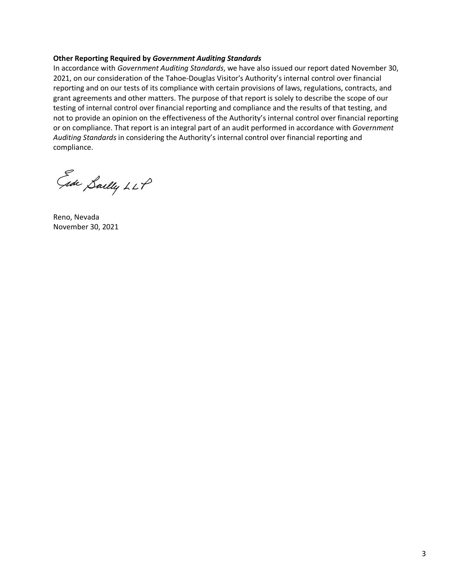#### **Other Reporting Required by** *Government Auditing Standards*

In accordance with *Government Auditing Standards*, we have also issued our report dated November 30, 2021, on our consideration of the Tahoe-Douglas Visitor's Authority's internal control over financial reporting and on our tests of its compliance with certain provisions of laws, regulations, contracts, and grant agreements and other matters. The purpose of that report is solely to describe the scope of our testing of internal control over financial reporting and compliance and the results of that testing, and not to provide an opinion on the effectiveness of the Authority's internal control over financial reporting or on compliance. That report is an integral part of an audit performed in accordance with *Government Auditing Standards* in considering the Authority's internal control over financial reporting and compliance.

Ede Sailly LLP

Reno, Nevada November 30, 2021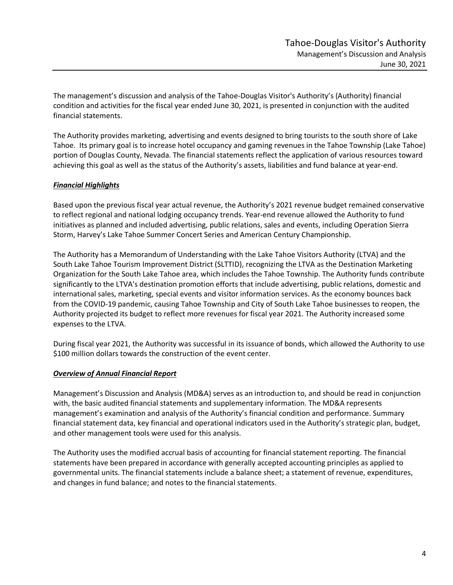<span id="page-5-0"></span>The management's discussion and analysis of the Tahoe-Douglas Visitor's Authority's (Authority) financial condition and activities for the fiscal year ended June 30, 2021, is presented in conjunction with the audited financial statements.

The Authority provides marketing, advertising and events designed to bring tourists to the south shore of Lake Tahoe. Its primary goal is to increase hotel occupancy and gaming revenues in the Tahoe Township (Lake Tahoe) portion of Douglas County, Nevada. The financial statements reflect the application of various resources toward achieving this goal as well as the status of the Authority's assets, liabilities and fund balance at year-end.

# *Financial Highlights*

Based upon the previous fiscal year actual revenue, the Authority's 2021 revenue budget remained conservative to reflect regional and national lodging occupancy trends. Year-end revenue allowed the Authority to fund initiatives as planned and included advertising, public relations, sales and events, including Operation Sierra Storm, Harvey's Lake Tahoe Summer Concert Series and American Century Championship.

The Authority has a Memorandum of Understanding with the Lake Tahoe Visitors Authority (LTVA) and the South Lake Tahoe Tourism Improvement District (SLTTID), recognizing the LTVA as the Destination Marketing Organization for the South Lake Tahoe area, which includes the Tahoe Township. The Authority funds contribute significantly to the LTVA's destination promotion efforts that include advertising, public relations, domestic and international sales, marketing, special events and visitor information services. As the economy bounces back from the COVID-19 pandemic, causing Tahoe Township and City of South Lake Tahoe businesses to reopen, the Authority projected its budget to reflect more revenues for fiscal year 2021. The Authority increased some expenses to the LTVA.

During fiscal year 2021, the Authority was successful in its issuance of bonds, which allowed the Authority to use \$100 million dollars towards the construction of the event center.

# *Overview of Annual Financial Report*

Management's Discussion and Analysis (MD&A) serves as an introduction to, and should be read in conjunction with, the basic audited financial statements and supplementary information. The MD&A represents management's examination and analysis of the Authority's financial condition and performance. Summary financial statement data, key financial and operational indicators used in the Authority's strategic plan, budget, and other management tools were used for this analysis.

The Authority uses the modified accrual basis of accounting for financial statement reporting. The financial statements have been prepared in accordance with generally accepted accounting principles as applied to governmental units. The financial statements include a balance sheet; a statement of revenue, expenditures, and changes in fund balance; and notes to the financial statements.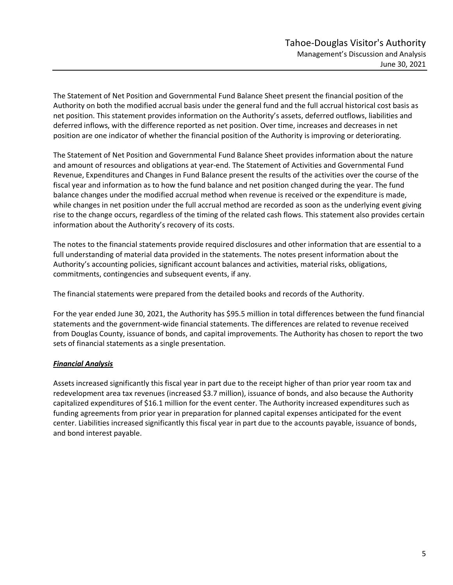The Statement of Net Position and Governmental Fund Balance Sheet present the financial position of the Authority on both the modified accrual basis under the general fund and the full accrual historical cost basis as net position. This statement provides information on the Authority's assets, deferred outflows, liabilities and deferred inflows, with the difference reported as net position. Over time, increases and decreases in net position are one indicator of whether the financial position of the Authority is improving or deteriorating.

The Statement of Net Position and Governmental Fund Balance Sheet provides information about the nature and amount of resources and obligations at year-end. The Statement of Activities and Governmental Fund Revenue, Expenditures and Changes in Fund Balance present the results of the activities over the course of the fiscal year and information as to how the fund balance and net position changed during the year. The fund balance changes under the modified accrual method when revenue is received or the expenditure is made, while changes in net position under the full accrual method are recorded as soon as the underlying event giving rise to the change occurs, regardless of the timing of the related cash flows. This statement also provides certain information about the Authority's recovery of its costs.

The notes to the financial statements provide required disclosures and other information that are essential to a full understanding of material data provided in the statements. The notes present information about the Authority's accounting policies, significant account balances and activities, material risks, obligations, commitments, contingencies and subsequent events, if any.

The financial statements were prepared from the detailed books and records of the Authority.

For the year ended June 30, 2021, the Authority has \$95.5 million in total differences between the fund financial statements and the government-wide financial statements. The differences are related to revenue received from Douglas County, issuance of bonds, and capital improvements. The Authority has chosen to report the two sets of financial statements as a single presentation.

# *Financial Analysis*

Assets increased significantly this fiscal year in part due to the receipt higher of than prior year room tax and redevelopment area tax revenues (increased \$3.7 million), issuance of bonds, and also because the Authority capitalized expenditures of \$16.1 million for the event center. The Authority increased expenditures such as funding agreements from prior year in preparation for planned capital expenses anticipated for the event center. Liabilities increased significantly this fiscal year in part due to the accounts payable, issuance of bonds, and bond interest payable.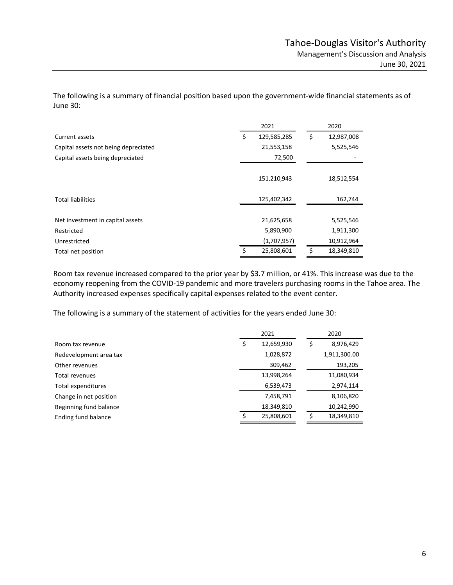The following is a summary of financial position based upon the government-wide financial statements as of June 30:

|                                      | 2021 |             |    | 2020       |
|--------------------------------------|------|-------------|----|------------|
| Current assets                       | \$   | 129,585,285 | \$ | 12,987,008 |
| Capital assets not being depreciated |      | 21,553,158  |    | 5,525,546  |
| Capital assets being depreciated     |      | 72,500      |    |            |
|                                      |      |             |    |            |
|                                      |      | 151,210,943 |    | 18,512,554 |
|                                      |      |             |    |            |
| <b>Total liabilities</b>             |      | 125,402,342 |    | 162,744    |
|                                      |      |             |    |            |
| Net investment in capital assets     |      | 21,625,658  |    | 5,525,546  |
| Restricted                           |      | 5,890,900   |    | 1,911,300  |
| Unrestricted                         |      | (1,707,957) |    | 10,912,964 |
| Total net position                   | Ŝ.   | 25,808,601  | Ś. | 18,349,810 |

Room tax revenue increased compared to the prior year by \$3.7 million, or 41%. This increase was due to the economy reopening from the COVID-19 pandemic and more travelers purchasing rooms in the Tahoe area. The Authority increased expenses specifically capital expenses related to the event center.

The following is a summary of the statement of activities for the years ended June 30:

|                        | 2021 |            |    | 2020         |
|------------------------|------|------------|----|--------------|
| Room tax revenue       | Ş    | 12,659,930 | \$ | 8,976,429    |
| Redevelopment area tax |      | 1,028,872  |    | 1,911,300.00 |
| Other revenues         |      | 309,462    |    | 193,205      |
| Total revenues         |      | 13,998,264 |    | 11,080,934   |
| Total expenditures     |      | 6,539,473  |    | 2,974,114    |
| Change in net position |      | 7,458,791  |    | 8,106,820    |
| Beginning fund balance |      | 18,349,810 |    | 10,242,990   |
| Ending fund balance    | \$   | 25,808,601 |    | 18,349,810   |
|                        |      |            |    |              |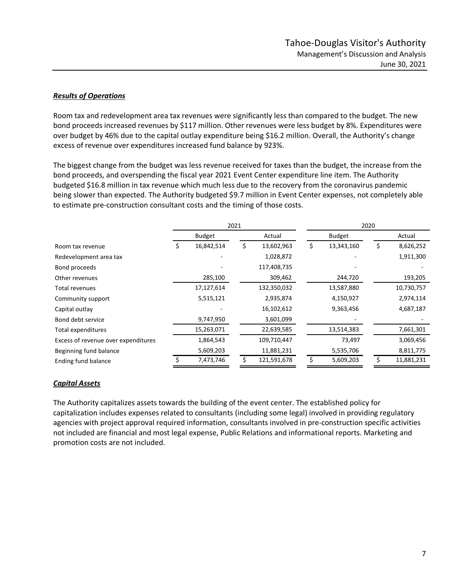## *Results of Operations*

Room tax and redevelopment area tax revenues were significantly less than compared to the budget. The new bond proceeds increased revenues by \$117 million. Other revenues were less budget by 8%. Expenditures were over budget by 46% due to the capital outlay expenditure being \$16.2 million. Overall, the Authority's change excess of revenue over expenditures increased fund balance by 923%.

The biggest change from the budget was less revenue received for taxes than the budget, the increase from the bond proceeds, and overspending the fiscal year 2021 Event Center expenditure line item. The Authority budgeted \$16.8 million in tax revenue which much less due to the recovery from the coronavirus pandemic being slower than expected. The Authority budgeted \$9.7 million in Event Center expenses, not completely able to estimate pre-construction consultant costs and the timing of those costs.

|                                     | 2021 |            |                  | 2020 |               |    |  |            |
|-------------------------------------|------|------------|------------------|------|---------------|----|--|------------|
|                                     |      | Budget     | Actual           |      | <b>Budget</b> |    |  | Actual     |
| Room tax revenue                    | S    | 16,842,514 | \$<br>13,602,963 | S    | 13,343,160    | Ş  |  | 8,626,252  |
| Redevelopment area tax              |      |            | 1,028,872        |      |               |    |  | 1,911,300  |
| Bond proceeds                       |      |            | 117,408,735      |      |               |    |  |            |
| Other revenues                      |      | 285,100    | 309,462          |      | 244,720       |    |  | 193,205    |
| Total revenues                      |      | 17,127,614 | 132,350,032      |      | 13,587,880    |    |  | 10,730,757 |
| Community support                   |      | 5,515,121  | 2,935,874        |      | 4,150,927     |    |  | 2,974,114  |
| Capital outlay                      |      |            | 16,102,612       |      | 9,363,456     |    |  | 4,687,187  |
| Bond debt service                   |      | 9,747,950  | 3,601,099        |      |               |    |  |            |
| Total expenditures                  |      | 15,263,071 | 22,639,585       |      | 13,514,383    |    |  | 7,661,301  |
| Excess of revenue over expenditures |      | 1,864,543  | 109,710,447      |      | 73,497        |    |  | 3,069,456  |
| Beginning fund balance              |      | 5,609,203  | 11,881,231       |      | 5,535,706     |    |  | 8,811,775  |
| Ending fund balance                 |      | 7,473,746  | 121,591,678      |      | 5,609,203     | \$ |  | 11,881,231 |

# *Capital Assets*

The Authority capitalizes assets towards the building of the event center. The established policy for capitalization includes expenses related to consultants (including some legal) involved in providing regulatory agencies with project approval required information, consultants involved in pre-construction specific activities not included are financial and most legal expense, Public Relations and informational reports. Marketing and promotion costs are not included.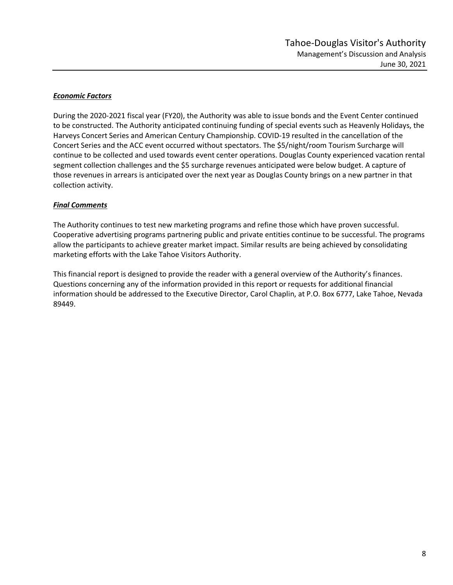# *Economic Factors*

During the 2020-2021 fiscal year (FY20), the Authority was able to issue bonds and the Event Center continued to be constructed. The Authority anticipated continuing funding of special events such as Heavenly Holidays, the Harveys Concert Series and American Century Championship. COVID-19 resulted in the cancellation of the Concert Series and the ACC event occurred without spectators. The \$5/night/room Tourism Surcharge will continue to be collected and used towards event center operations. Douglas County experienced vacation rental segment collection challenges and the \$5 surcharge revenues anticipated were below budget. A capture of those revenues in arrears is anticipated over the next year as Douglas County brings on a new partner in that collection activity.

## *Final Comments*

The Authority continues to test new marketing programs and refine those which have proven successful. Cooperative advertising programs partnering public and private entities continue to be successful. The programs allow the participants to achieve greater market impact. Similar results are being achieved by consolidating marketing efforts with the Lake Tahoe Visitors Authority.

This financial report is designed to provide the reader with a general overview of the Authority's finances. Questions concerning any of the information provided in this report or requests for additional financial information should be addressed to the Executive Director, Carol Chaplin, at P.O. Box 6777, Lake Tahoe, Nevada 89449.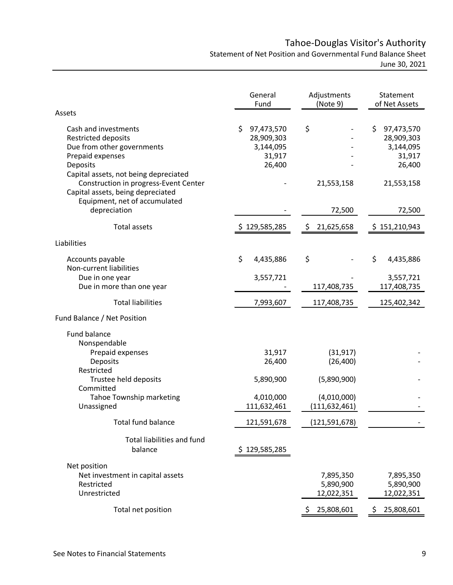# Tahoe-Douglas Visitor's Authority

Statement of Net Position and Governmental Fund Balance Sheet

June 30, 2021

<span id="page-10-1"></span><span id="page-10-0"></span>

|                                                                                                                                                    | General<br>Fund                                                 | Adjustments<br>(Note 9) | Statement<br>of Net Assets                                      |
|----------------------------------------------------------------------------------------------------------------------------------------------------|-----------------------------------------------------------------|-------------------------|-----------------------------------------------------------------|
| Assets                                                                                                                                             |                                                                 |                         |                                                                 |
| Cash and investments<br>Restricted deposits<br>Due from other governments<br>Prepaid expenses<br>Deposits<br>Capital assets, not being depreciated | \$<br>97,473,570<br>28,909,303<br>3,144,095<br>31,917<br>26,400 | \$                      | \$<br>97,473,570<br>28,909,303<br>3,144,095<br>31,917<br>26,400 |
| Construction in progress-Event Center<br>Capital assets, being depreciated<br>Equipment, net of accumulated<br>depreciation                        |                                                                 | 21,553,158<br>72,500    | 21,553,158<br>72,500                                            |
| <b>Total assets</b>                                                                                                                                | \$129,585,285                                                   | \$<br>21,625,658        | \$151,210,943                                                   |
| Liabilities                                                                                                                                        |                                                                 |                         |                                                                 |
| Accounts payable<br>Non-current liabilities                                                                                                        | \$<br>4,435,886                                                 | \$                      | \$<br>4,435,886                                                 |
| Due in one year<br>Due in more than one year                                                                                                       | 3,557,721                                                       | 117,408,735             | 3,557,721<br>117,408,735                                        |
|                                                                                                                                                    |                                                                 |                         |                                                                 |
| <b>Total liabilities</b>                                                                                                                           | 7,993,607                                                       | 117,408,735             | 125,402,342                                                     |
| Fund Balance / Net Position                                                                                                                        |                                                                 |                         |                                                                 |
| Fund balance                                                                                                                                       |                                                                 |                         |                                                                 |
| Nonspendable                                                                                                                                       |                                                                 |                         |                                                                 |
| Prepaid expenses                                                                                                                                   | 31,917                                                          | (31, 917)               |                                                                 |
| Deposits                                                                                                                                           | 26,400                                                          | (26, 400)               |                                                                 |
| Restricted                                                                                                                                         |                                                                 |                         |                                                                 |
| Trustee held deposits<br>Committed                                                                                                                 | 5,890,900                                                       | (5,890,900)             |                                                                 |
| Tahoe Township marketing                                                                                                                           | 4,010,000                                                       | (4,010,000)             |                                                                 |
| Unassigned                                                                                                                                         | 111,632,461                                                     | (111, 632, 461)         |                                                                 |
| <b>Total fund balance</b>                                                                                                                          | 121,591,678                                                     | (121, 591, 678)         |                                                                 |
| <b>Total liabilities and fund</b>                                                                                                                  |                                                                 |                         |                                                                 |
| balance                                                                                                                                            | \$129,585,285                                                   |                         |                                                                 |
| Net position                                                                                                                                       |                                                                 |                         |                                                                 |
| Net investment in capital assets                                                                                                                   |                                                                 | 7,895,350               | 7,895,350                                                       |
| Restricted                                                                                                                                         |                                                                 | 5,890,900               | 5,890,900                                                       |
| Unrestricted                                                                                                                                       |                                                                 | 12,022,351              | 12,022,351                                                      |
| Total net position                                                                                                                                 |                                                                 | 25,808,601<br>S.        | 25,808,601<br>\$.                                               |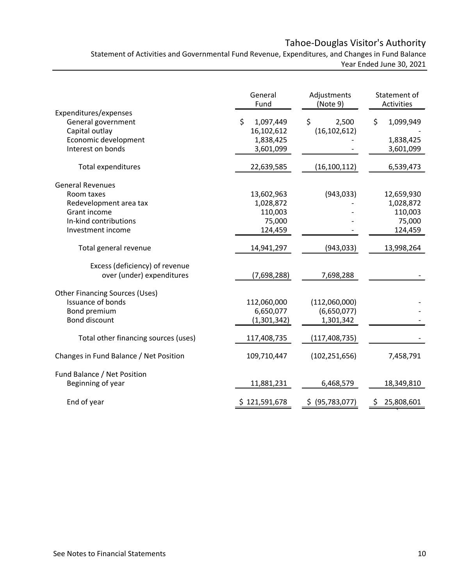# Tahoe-Douglas Visitor's Authority

Statement of Activities and Governmental Fund Revenue, Expenditures, and Changes in Fund Balance Year Ended June 30, 2021

<span id="page-11-0"></span>

|                                        | General<br>Fund | Adjustments<br>(Note 9) | Statement of<br><b>Activities</b> |
|----------------------------------------|-----------------|-------------------------|-----------------------------------|
| Expenditures/expenses                  |                 |                         |                                   |
| General government                     | \$<br>1,097,449 | \$<br>2,500             | \$<br>1,099,949                   |
| Capital outlay                         | 16,102,612      | (16, 102, 612)          |                                   |
| Economic development                   | 1,838,425       |                         | 1,838,425                         |
| Interest on bonds                      | 3,601,099       |                         | 3,601,099                         |
| Total expenditures                     | 22,639,585      | (16, 100, 112)          | 6,539,473                         |
| <b>General Revenues</b>                |                 |                         |                                   |
| Room taxes                             | 13,602,963      | (943, 033)              | 12,659,930                        |
| Redevelopment area tax                 | 1,028,872       |                         | 1,028,872                         |
| Grant income                           | 110,003         |                         | 110,003                           |
| In-kind contributions                  | 75,000          |                         | 75,000                            |
| Investment income                      | 124,459         |                         | 124,459                           |
|                                        |                 |                         |                                   |
| Total general revenue                  | 14,941,297      | (943, 033)              | 13,998,264                        |
| Excess (deficiency) of revenue         |                 |                         |                                   |
| over (under) expenditures              | (7,698,288)     | 7,698,288               |                                   |
| <b>Other Financing Sources (Uses)</b>  |                 |                         |                                   |
| <b>Issuance of bonds</b>               | 112,060,000     | (112,060,000)           |                                   |
| Bond premium                           | 6,650,077       | (6,650,077)             |                                   |
| <b>Bond discount</b>                   | (1,301,342)     | 1,301,342               |                                   |
|                                        |                 |                         |                                   |
| Total other financing sources (uses)   | 117,408,735     | (117, 408, 735)         |                                   |
| Changes in Fund Balance / Net Position | 109,710,447     | (102, 251, 656)         | 7,458,791                         |
| Fund Balance / Net Position            |                 |                         |                                   |
| Beginning of year                      | 11,881,231      | 6,468,579               | 18,349,810                        |
| End of year                            | \$121,591,678   | \$ (95,783,077)         | 25,808,601                        |
|                                        |                 |                         |                                   |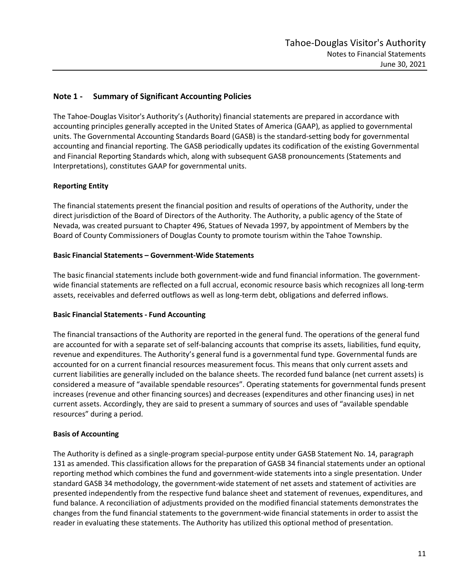# <span id="page-12-0"></span>**Note 1 - Summary of Significant Accounting Policies**

The Tahoe-Douglas Visitor's Authority's (Authority) financial statements are prepared in accordance with accounting principles generally accepted in the United States of America (GAAP), as applied to governmental units. The Governmental Accounting Standards Board (GASB) is the standard-setting body for governmental accounting and financial reporting. The GASB periodically updates its codification of the existing Governmental and Financial Reporting Standards which, along with subsequent GASB pronouncements (Statements and Interpretations), constitutes GAAP for governmental units.

## **Reporting Entity**

The financial statements present the financial position and results of operations of the Authority, under the direct jurisdiction of the Board of Directors of the Authority. The Authority, a public agency of the State of Nevada, was created pursuant to Chapter 496, Statues of Nevada 1997, by appointment of Members by the Board of County Commissioners of Douglas County to promote tourism within the Tahoe Township.

#### **Basic Financial Statements – Government-Wide Statements**

The basic financial statements include both government-wide and fund financial information. The governmentwide financial statements are reflected on a full accrual, economic resource basis which recognizes all long-term assets, receivables and deferred outflows as well as long-term debt, obligations and deferred inflows.

## **Basic Financial Statements - Fund Accounting**

The financial transactions of the Authority are reported in the general fund. The operations of the general fund are accounted for with a separate set of self-balancing accounts that comprise its assets, liabilities, fund equity, revenue and expenditures. The Authority's general fund is a governmental fund type. Governmental funds are accounted for on a current financial resources measurement focus. This means that only current assets and current liabilities are generally included on the balance sheets. The recorded fund balance (net current assets) is considered a measure of "available spendable resources". Operating statements for governmental funds present increases (revenue and other financing sources) and decreases (expenditures and other financing uses) in net current assets. Accordingly, they are said to present a summary of sources and uses of "available spendable resources" during a period.

## **Basis of Accounting**

The Authority is defined as a single-program special-purpose entity under GASB Statement No. 14, paragraph 131 as amended. This classification allows for the preparation of GASB 34 financial statements under an optional reporting method which combines the fund and government-wide statements into a single presentation. Under standard GASB 34 methodology, the government-wide statement of net assets and statement of activities are presented independently from the respective fund balance sheet and statement of revenues, expenditures, and fund balance. A reconciliation of adjustments provided on the modified financial statements demonstrates the changes from the fund financial statements to the government-wide financial statements in order to assist the reader in evaluating these statements. The Authority has utilized this optional method of presentation.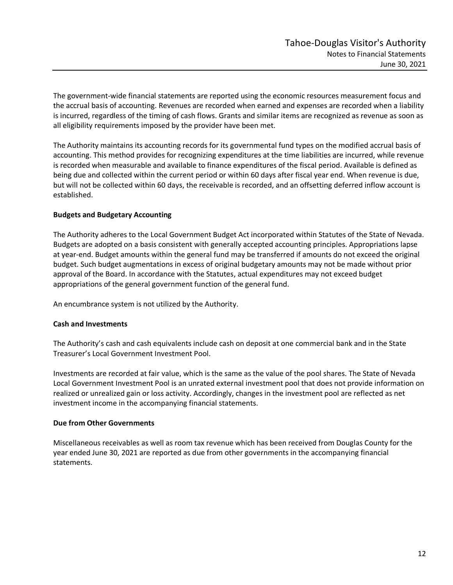The government-wide financial statements are reported using the economic resources measurement focus and the accrual basis of accounting. Revenues are recorded when earned and expenses are recorded when a liability is incurred, regardless of the timing of cash flows. Grants and similar items are recognized as revenue as soon as all eligibility requirements imposed by the provider have been met.

The Authority maintains its accounting records for its governmental fund types on the modified accrual basis of accounting. This method provides for recognizing expenditures at the time liabilities are incurred, while revenue is recorded when measurable and available to finance expenditures of the fiscal period. Available is defined as being due and collected within the current period or within 60 days after fiscal year end. When revenue is due, but will not be collected within 60 days, the receivable is recorded, and an offsetting deferred inflow account is established.

## **Budgets and Budgetary Accounting**

The Authority adheres to the Local Government Budget Act incorporated within Statutes of the State of Nevada. Budgets are adopted on a basis consistent with generally accepted accounting principles. Appropriations lapse at year-end. Budget amounts within the general fund may be transferred if amounts do not exceed the original budget. Such budget augmentations in excess of original budgetary amounts may not be made without prior approval of the Board. In accordance with the Statutes, actual expenditures may not exceed budget appropriations of the general government function of the general fund.

An encumbrance system is not utilized by the Authority.

## **Cash and Investments**

The Authority's cash and cash equivalents include cash on deposit at one commercial bank and in the State Treasurer's Local Government Investment Pool.

Investments are recorded at fair value, which is the same as the value of the pool shares. The State of Nevada Local Government Investment Pool is an unrated external investment pool that does not provide information on realized or unrealized gain or loss activity. Accordingly, changes in the investment pool are reflected as net investment income in the accompanying financial statements.

## **Due from Other Governments**

Miscellaneous receivables as well as room tax revenue which has been received from Douglas County for the year ended June 30, 2021 are reported as due from other governments in the accompanying financial statements.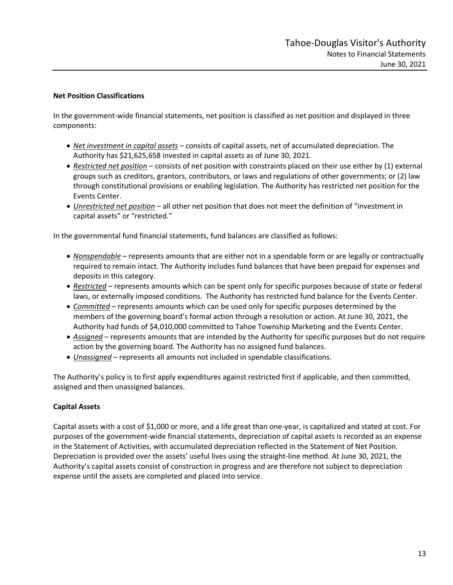## **Net Position Classifications**

In the government-wide financial statements, net position is classified as net position and displayed in three components:

- *Net investment in capital assets* consists of capital assets, net of accumulated depreciation. The Authority has \$21,625,658 invested in capital assets as of June 30, 2021.
- *Restricted net position* consists of net position with constraints placed on their use either by (1) external groups such as creditors, grantors, contributors, or laws and regulations of other governments; or (2) law through constitutional provisions or enabling legislation. The Authority has restricted net position for the Events Center.
- *Unrestricted net position* all other net position that does not meet the definition of "investment in capital assets" or "restricted."

In the governmental fund financial statements, fund balances are classified as follows:

- *Nonspendable* represents amounts that are either not in a spendable form or are legally or contractually required to remain intact. The Authority includes fund balances that have been prepaid for expenses and deposits in this category.
- *Restricted* represents amounts which can be spent only for specific purposes because of state or federal laws, or externally imposed conditions. The Authority has restricted fund balance for the Events Center.
- *Committed* represents amounts which can be used only for specific purposes determined by the members of the governing board's formal action through a resolution or action. At June 30, 2021, the Authority had funds of \$4,010,000 committed to Tahoe Township Marketing and the Events Center.
- *Assigned* represents amounts that are intended by the Authority for specific purposes but do not require action by the governing board. The Authority has no assigned fund balances.
- *Unassigned* represents all amounts not included in spendable classifications.

The Authority's policy is to first apply expenditures against restricted first if applicable, and then committed, assigned and then unassigned balances.

# **Capital Assets**

Capital assets with a cost of \$1,000 or more, and a life great than one-year, is capitalized and stated at cost. For purposes of the government-wide financial statements, depreciation of capital assets is recorded as an expense in the Statement of Activities, with accumulated depreciation reflected in the Statement of Net Position. Depreciation is provided over the assets' useful lives using the straight-line method. At June 30, 2021, the Authority's capital assets consist of construction in progress and are therefore not subject to depreciation expense until the assets are completed and placed into service.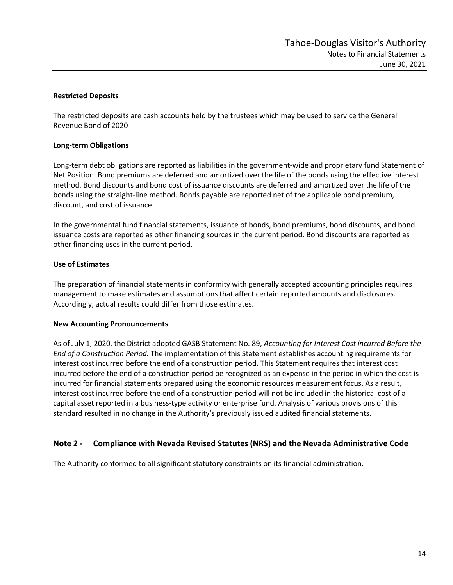## **Restricted Deposits**

The restricted deposits are cash accounts held by the trustees which may be used to service the General Revenue Bond of 2020

## **Long-term Obligations**

Long-term debt obligations are reported as liabilities in the government-wide and proprietary fund Statement of Net Position. Bond premiums are deferred and amortized over the life of the bonds using the effective interest method. Bond discounts and bond cost of issuance discounts are deferred and amortized over the life of the bonds using the straight-line method. Bonds payable are reported net of the applicable bond premium, discount, and cost of issuance.

In the governmental fund financial statements, issuance of bonds, bond premiums, bond discounts, and bond issuance costs are reported as other financing sources in the current period. Bond discounts are reported as other financing uses in the current period.

## **Use of Estimates**

The preparation of financial statements in conformity with generally accepted accounting principles requires management to make estimates and assumptions that affect certain reported amounts and disclosures. Accordingly, actual results could differ from those estimates.

## **New Accounting Pronouncements**

As of July 1, 2020, the District adopted GASB Statement No. 89, *Accounting for Interest Cost incurred Before the End of a Construction Period.* The implementation of this Statement establishes accounting requirements for interest cost incurred before the end of a construction period. This Statement requires that interest cost incurred before the end of a construction period be recognized as an expense in the period in which the cost is incurred for financial statements prepared using the economic resources measurement focus. As a result, interest cost incurred before the end of a construction period will not be included in the historical cost of a capital asset reported in a business-type activity or enterprise fund. Analysis of various provisions of this standard resulted in no change in the Authority's previously issued audited financial statements.

# **Note 2 - Compliance with Nevada Revised Statutes (NRS) and the Nevada Administrative Code**

The Authority conformed to all significant statutory constraints on its financial administration.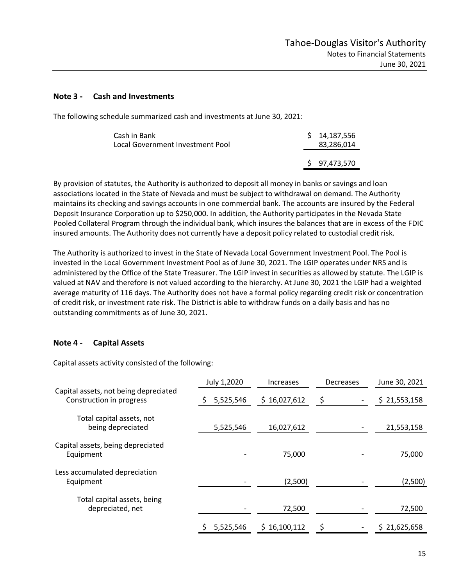## **Note 3 - Cash and Investments**

The following schedule summarized cash and investments at June 30, 2021:

| Cash in Bank                     |  | \$14,187,556 |
|----------------------------------|--|--------------|
| Local Government Investment Pool |  | 83,286,014   |
|                                  |  | \$97,473,570 |

By provision of statutes, the Authority is authorized to deposit all money in banks or savings and loan associations located in the State of Nevada and must be subject to withdrawal on demand. The Authority maintains its checking and savings accounts in one commercial bank. The accounts are insured by the Federal Deposit Insurance Corporation up to \$250,000. In addition, the Authority participates in the Nevada State Pooled Collateral Program through the individual bank, which insures the balances that are in excess of the FDIC insured amounts. The Authority does not currently have a deposit policy related to custodial credit risk.

The Authority is authorized to invest in the State of Nevada Local Government Investment Pool. The Pool is invested in the Local Government Investment Pool as of June 30, 2021. The LGIP operates under NRS and is administered by the Office of the State Treasurer. The LGIP invest in securities as allowed by statute. The LGIP is valued at NAV and therefore is not valued according to the hierarchy. At June 30, 2021 the LGIP had a weighted average maturity of 116 days. The Authority does not have a formal policy regarding credit risk or concentration of credit risk, or investment rate risk. The District is able to withdraw funds on a daily basis and has no outstanding commitments as of June 30, 2021.

# **Note 4 - Capital Assets**

Capital assets activity consisted of the following:

|                                                                   | July 1,2020 | <b>Increases</b> | Decreases | June 30, 2021 |
|-------------------------------------------------------------------|-------------|------------------|-----------|---------------|
| Capital assets, not being depreciated<br>Construction in progress | 5,525,546   | \$16,027,612     | \$        | \$21,553,158  |
| Total capital assets, not<br>being depreciated                    | 5,525,546   | 16,027,612       |           | 21,553,158    |
| Capital assets, being depreciated<br>Equipment                    |             | 75,000           |           | 75,000        |
| Less accumulated depreciation<br>Equipment                        |             | (2,500)          |           | (2,500)       |
| Total capital assets, being<br>depreciated, net                   |             | 72,500           |           | 72,500        |
|                                                                   | 5,525,546   | \$16,100,112     |           | \$21,625,658  |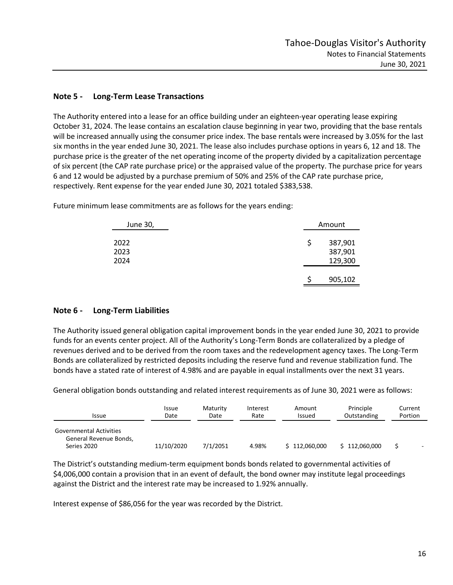# **Note 5 - Long-Term Lease Transactions**

The Authority entered into a lease for an office building under an eighteen-year operating lease expiring October 31, 2024. The lease contains an escalation clause beginning in year two, providing that the base rentals will be increased annually using the consumer price index. The base rentals were increased by 3.05% for the last six months in the year ended June 30, 2021. The lease also includes purchase options in years 6, 12 and 18. The purchase price is the greater of the net operating income of the property divided by a capitalization percentage of six percent (the CAP rate purchase price) or the appraised value of the property. The purchase price for years 6 and 12 would be adjusted by a purchase premium of 50% and 25% of the CAP rate purchase price, respectively. Rent expense for the year ended June 30, 2021 totaled \$383,538.

| June 30,             | Amount                        |
|----------------------|-------------------------------|
| 2022<br>2023<br>2024 | 387,901<br>387,901<br>129,300 |
|                      | 905,102                       |

Future minimum lease commitments are as follows for the years ending:

# **Note 6 - Long-Term Liabilities**

The Authority issued general obligation capital improvement bonds in the year ended June 30, 2021 to provide funds for an events center project. All of the Authority's Long-Term Bonds are collateralized by a pledge of revenues derived and to be derived from the room taxes and the redevelopment agency taxes. The Long-Term Bonds are collateralized by restricted deposits including the reserve fund and revenue stabilization fund. The bonds have a stated rate of interest of 4.98% and are payable in equal installments over the next 31 years.

General obligation bonds outstanding and related interest requirements as of June 30, 2021 were as follows:

| <b>Issue</b>                                                            | Issue      | Maturity | Interest | Amount        | Principle   | Current |
|-------------------------------------------------------------------------|------------|----------|----------|---------------|-------------|---------|
|                                                                         | Date       | Date     | Rate     | Issued        | Outstanding | Portion |
| <b>Governmental Activities</b><br>General Revenue Bonds,<br>Series 2020 | 11/10/2020 | 7/1/2051 | 4.98%    | \$112.060.000 | 112.060.000 | -       |

The District's outstanding medium-term equipment bonds bonds related to governmental activities of \$4,006,000 contain a provision that in an event of default, the bond owner may institute legal proceedings against the District and the interest rate may be increased to 1.92% annually.

Interest expense of \$86,056 for the year was recorded by the District.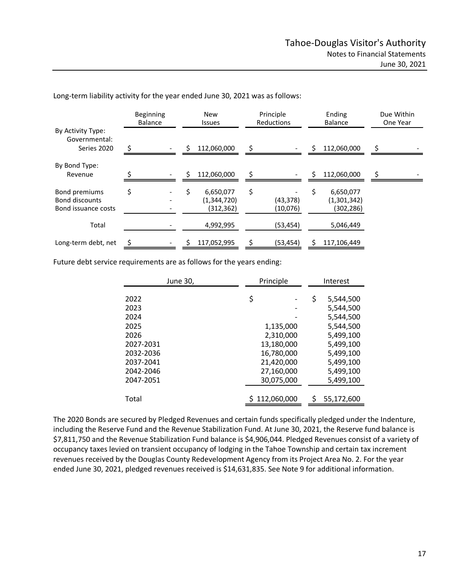|                                                               | Beginning<br><b>Balance</b> | <b>New</b><br><b>Issues</b>            | Principle<br>Reductions     | Ending<br><b>Balance</b>                    | Due Within<br>One Year |
|---------------------------------------------------------------|-----------------------------|----------------------------------------|-----------------------------|---------------------------------------------|------------------------|
| By Activity Type:<br>Governmental:<br>Series 2020             |                             | 112,060,000<br>S                       | Ŝ.                          | 112,060,000<br>S                            |                        |
| By Bond Type:<br>Revenue                                      |                             | 112,060,000<br>S.                      |                             | 112,060,000<br>\$                           | S                      |
| Bond premiums<br><b>Bond discounts</b><br>Bond issuance costs |                             | 6,650,077<br>(1,344,720)<br>(312, 362) | \$<br>(43, 378)<br>(10,076) | \$<br>6,650,077<br>(1,301,342)<br>(302,286) |                        |
| Total                                                         |                             | 4,992,995                              | (53, 454)                   | 5,046,449                                   |                        |
| Long-term debt, net                                           |                             | \$<br>117,052,995                      | (53, 454)                   | Ś<br>117,106,449                            |                        |

Long-term liability activity for the year ended June 30, 2021 was as follows:

Future debt service requirements are as follows for the years ending:

| June 30,  | Principle     | Interest        |
|-----------|---------------|-----------------|
|           |               |                 |
| 2022      | \$            | \$<br>5,544,500 |
| 2023      |               | 5.544.500       |
| 2024      |               | 5,544,500       |
| 2025      | 1,135,000     | 5,544,500       |
| 2026      | 2,310,000     | 5,499,100       |
| 2027-2031 | 13,180,000    | 5,499,100       |
| 2032-2036 | 16,780,000    | 5,499,100       |
| 2037-2041 | 21,420,000    | 5,499,100       |
| 2042-2046 | 27,160,000    | 5,499,100       |
| 2047-2051 | 30,075,000    | 5,499,100       |
|           |               |                 |
| Total     | \$112,060,000 | 55,172,600      |

The 2020 Bonds are secured by Pledged Revenues and certain funds specifically pledged under the Indenture, including the Reserve Fund and the Revenue Stabilization Fund. At June 30, 2021, the Reserve fund balance is \$7,811,750 and the Revenue Stabilization Fund balance is \$4,906,044. Pledged Revenues consist of a variety of occupancy taxes levied on transient occupancy of lodging in the Tahoe Township and certain tax increment revenues received by the Douglas County Redevelopment Agency from its Project Area No. 2. For the year ended June 30, 2021, pledged revenues received is \$14,631,835. See Note 9 for additional information.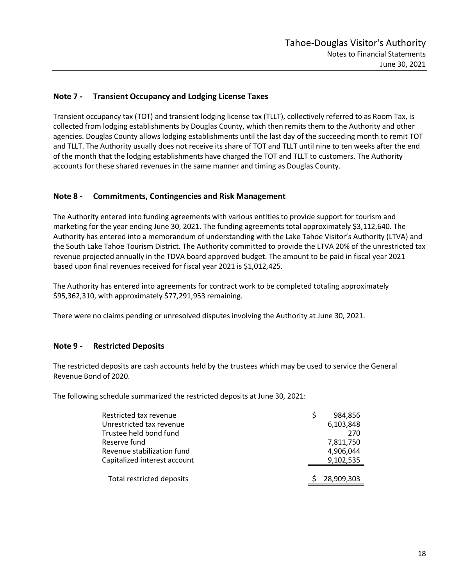# **Note 7 - Transient Occupancy and Lodging License Taxes**

Transient occupancy tax (TOT) and transient lodging license tax (TLLT), collectively referred to as Room Tax, is collected from lodging establishments by Douglas County, which then remits them to the Authority and other agencies. Douglas County allows lodging establishments until the last day of the succeeding month to remit TOT and TLLT. The Authority usually does not receive its share of TOT and TLLT until nine to ten weeks after the end of the month that the lodging establishments have charged the TOT and TLLT to customers. The Authority accounts for these shared revenues in the same manner and timing as Douglas County.

# **Note 8 - Commitments, Contingencies and Risk Management**

The Authority entered into funding agreements with various entities to provide support for tourism and marketing for the year ending June 30, 2021. The funding agreements total approximately \$3,112,640. The Authority has entered into a memorandum of understanding with the Lake Tahoe Visitor's Authority (LTVA) and the South Lake Tahoe Tourism District. The Authority committed to provide the LTVA 20% of the unrestricted tax revenue projected annually in the TDVA board approved budget. The amount to be paid in fiscal year 2021 based upon final revenues received for fiscal year 2021 is \$1,012,425.

The Authority has entered into agreements for contract work to be completed totaling approximately \$95,362,310, with approximately \$77,291,953 remaining.

There were no claims pending or unresolved disputes involving the Authority at June 30, 2021.

# **Note 9 - Restricted Deposits**

The restricted deposits are cash accounts held by the trustees which may be used to service the General Revenue Bond of 2020.

The following schedule summarized the restricted deposits at June 30, 2021:

| Restricted tax revenue       | 984.856    |
|------------------------------|------------|
| Unrestricted tax revenue     | 6,103,848  |
| Trustee held bond fund       | 270        |
| Reserve fund                 | 7,811,750  |
| Revenue stabilization fund   | 4,906,044  |
| Capitalized interest account | 9,102,535  |
|                              |            |
| Total restricted deposits    | 28,909,303 |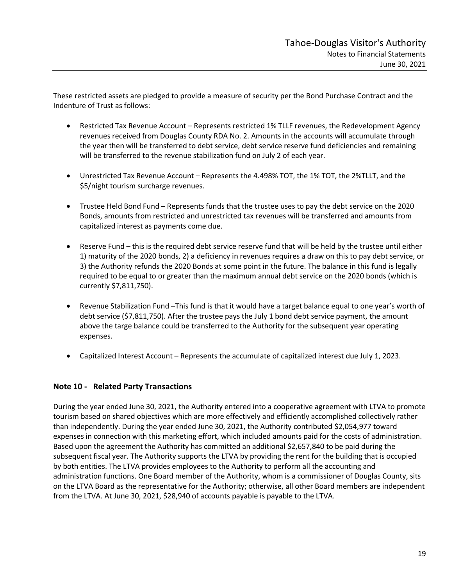These restricted assets are pledged to provide a measure of security per the Bond Purchase Contract and the Indenture of Trust as follows:

- Restricted Tax Revenue Account Represents restricted 1% TLLF revenues, the Redevelopment Agency revenues received from Douglas County RDA No. 2. Amounts in the accounts will accumulate through the year then will be transferred to debt service, debt service reserve fund deficiencies and remaining will be transferred to the revenue stabilization fund on July 2 of each year.
- Unrestricted Tax Revenue Account Represents the 4.498% TOT, the 1% TOT, the 2%TLLT, and the \$5/night tourism surcharge revenues.
- Trustee Held Bond Fund Represents funds that the trustee uses to pay the debt service on the 2020 Bonds, amounts from restricted and unrestricted tax revenues will be transferred and amounts from capitalized interest as payments come due.
- Reserve Fund this is the required debt service reserve fund that will be held by the trustee until either 1) maturity of the 2020 bonds, 2) a deficiency in revenues requires a draw on this to pay debt service, or 3) the Authority refunds the 2020 Bonds at some point in the future. The balance in this fund is legally required to be equal to or greater than the maximum annual debt service on the 2020 bonds (which is currently \$7,811,750).
- Revenue Stabilization Fund –This fund is that it would have a target balance equal to one year's worth of debt service (\$7,811,750). After the trustee pays the July 1 bond debt service payment, the amount above the targe balance could be transferred to the Authority for the subsequent year operating expenses.
- Capitalized Interest Account Represents the accumulate of capitalized interest due July 1, 2023.

# **Note 10 - Related Party Transactions**

During the year ended June 30, 2021, the Authority entered into a cooperative agreement with LTVA to promote tourism based on shared objectives which are more effectively and efficiently accomplished collectively rather than independently. During the year ended June 30, 2021, the Authority contributed \$2,054,977 toward expenses in connection with this marketing effort, which included amounts paid for the costs of administration. Based upon the agreement the Authority has committed an additional \$2,657,840 to be paid during the subsequent fiscal year. The Authority supports the LTVA by providing the rent for the building that is occupied by both entities. The LTVA provides employees to the Authority to perform all the accounting and administration functions. One Board member of the Authority, whom is a commissioner of Douglas County, sits on the LTVA Board as the representative for the Authority; otherwise, all other Board members are independent from the LTVA. At June 30, 2021, \$28,940 of accounts payable is payable to the LTVA.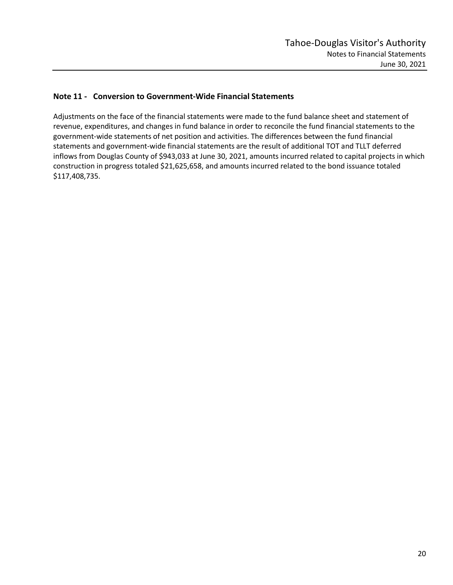# **Note 11 - Conversion to Government-Wide Financial Statements**

Adjustments on the face of the financial statements were made to the fund balance sheet and statement of revenue, expenditures, and changes in fund balance in order to reconcile the fund financial statements to the government-wide statements of net position and activities. The differences between the fund financial statements and government-wide financial statements are the result of additional TOT and TLLT deferred inflows from Douglas County of \$943,033 at June 30, 2021, amounts incurred related to capital projects in which construction in progress totaled \$21,625,658, and amounts incurred related to the bond issuance totaled \$117,408,735.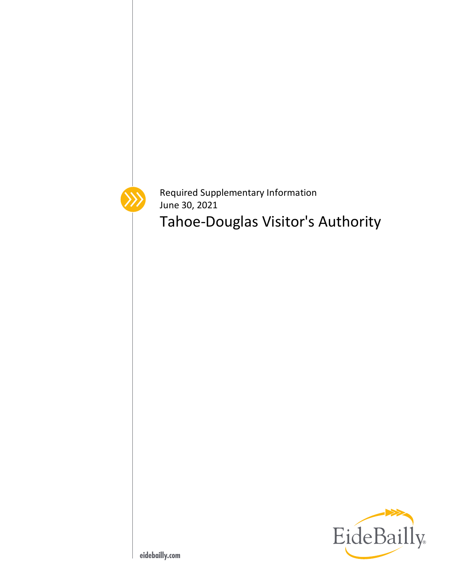

Required Supplementary Information June 30, 2021

Tahoe-Douglas Visitor's Authority

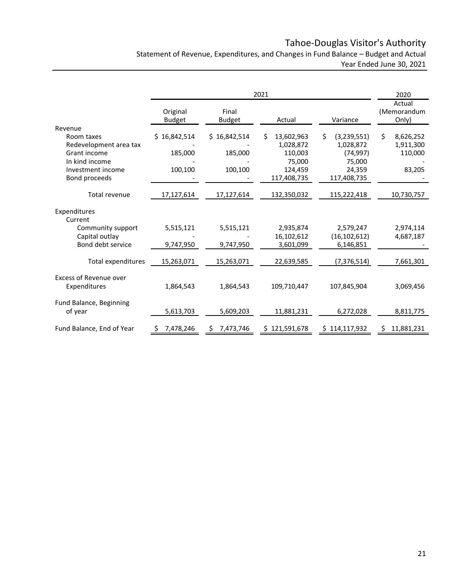# Tahoe-Douglas Visitor's Authority

Statement of Revenue, Expenditures, and Changes in Fund Balance – Budget and Actual Year Ended June 30, 2021

<span id="page-23-1"></span><span id="page-23-0"></span>

|                           | 2021                      |                        |                  |                     | 2020                           |
|---------------------------|---------------------------|------------------------|------------------|---------------------|--------------------------------|
|                           | Original<br><b>Budget</b> | Final<br><b>Budget</b> | Actual           | Variance            | Actual<br>(Memorandum<br>Only) |
| Revenue                   |                           |                        |                  |                     |                                |
| Room taxes                | \$16,842,514              | \$16,842,514           | \$<br>13,602,963 | \$<br>(3, 239, 551) | \$<br>8,626,252                |
| Redevelopment area tax    |                           |                        | 1,028,872        | 1,028,872           | 1,911,300                      |
| Grant income              | 185,000                   | 185,000                | 110,003          | (74, 997)           | 110,000                        |
| In kind income            |                           |                        | 75,000           | 75,000              |                                |
| Investment income         | 100,100                   | 100,100                | 124,459          | 24,359              | 83,205                         |
| Bond proceeds             |                           |                        | 117,408,735      | 117,408,735         |                                |
| Total revenue             | 17,127,614                | 17,127,614             | 132,350,032      | 115,222,418         | 10,730,757                     |
|                           |                           |                        |                  |                     |                                |
| Expenditures              |                           |                        |                  |                     |                                |
| Current                   |                           |                        |                  |                     |                                |
| Community support         | 5,515,121                 | 5,515,121              | 2,935,874        | 2,579,247           | 2,974,114                      |
| Capital outlay            |                           |                        | 16,102,612       | (16, 102, 612)      | 4,687,187                      |
| Bond debt service         | 9,747,950                 | 9,747,950              | 3,601,099        | 6,146,851           |                                |
| Total expenditures        | 15,263,071                | 15,263,071             | 22,639,585       | (7, 376, 514)       | 7,661,301                      |
|                           |                           |                        |                  |                     |                                |
| Excess of Revenue over    |                           |                        |                  |                     |                                |
| Expenditures              | 1,864,543                 | 1,864,543              | 109,710,447      | 107,845,904         | 3,069,456                      |
|                           |                           |                        |                  |                     |                                |
| Fund Balance, Beginning   |                           |                        |                  |                     |                                |
| of year                   | 5,613,703                 | 5,609,203              | 11,881,231       | 6,272,028           | 8,811,775                      |
| Fund Balance, End of Year | 7,478,246                 | 7,473,746              | \$121,591,678    | \$114,117,932       | 11,881,231                     |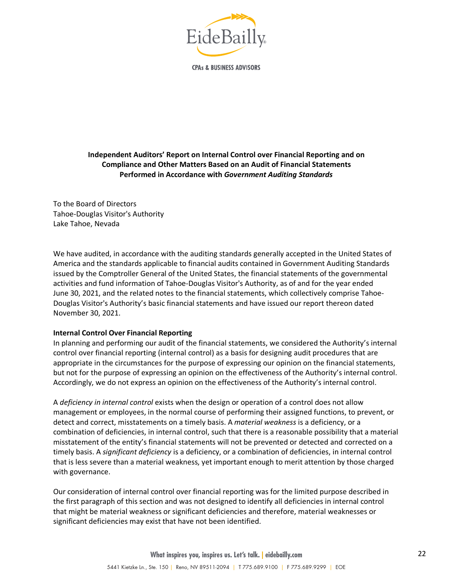

**CPAs & BUSINESS ADVISORS** 

# <span id="page-24-0"></span>**Independent Auditors' Report on Internal Control over Financial Reporting and on Compliance and Other Matters Based on an Audit of Financial Statements Performed in Accordance with** *Government Auditing Standards*

To the Board of Directors Tahoe-Douglas Visitor's Authority Lake Tahoe, Nevada

We have audited, in accordance with the auditing standards generally accepted in the United States of America and the standards applicable to financial audits contained in Government Auditing Standards issued by the Comptroller General of the United States, the financial statements of the governmental activities and fund information of Tahoe-Douglas Visitor's Authority, as of and for the year ended June 30, 2021, and the related notes to the financial statements, which collectively comprise Tahoe-Douglas Visitor's Authority's basic financial statements and have issued our report thereon dated November 30, 2021.

## **Internal Control Over Financial Reporting**

In planning and performing our audit of the financial statements, we considered the Authority's internal control over financial reporting (internal control) as a basis for designing audit procedures that are appropriate in the circumstances for the purpose of expressing our opinion on the financial statements, but not for the purpose of expressing an opinion on the effectiveness of the Authority's internal control. Accordingly, we do not express an opinion on the effectiveness of the Authority's internal control.

A *deficiency in internal control* exists when the design or operation of a control does not allow management or employees, in the normal course of performing their assigned functions, to prevent, or detect and correct, misstatements on a timely basis. A *material weakness* is a deficiency, or a combination of deficiencies, in internal control, such that there is a reasonable possibility that a material misstatement of the entity's financial statements will not be prevented or detected and corrected on a timely basis. A *significant deficiency* is a deficiency, or a combination of deficiencies, in internal control that is less severe than a material weakness, yet important enough to merit attention by those charged with governance.

Our consideration of internal control over financial reporting was for the limited purpose described in the first paragraph of this section and was not designed to identify all deficiencies in internal control that might be material weakness or significant deficiencies and therefore, material weaknesses or significant deficiencies may exist that have not been identified.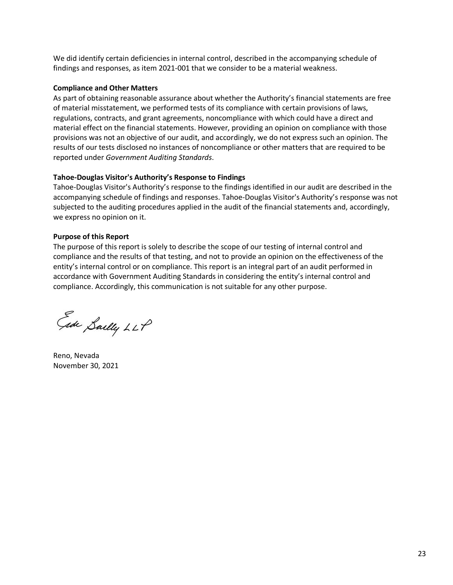We did identify certain deficiencies in internal control, described in the accompanying schedule of findings and responses, as item 2021-001 that we consider to be a material weakness.

#### **Compliance and Other Matters**

As part of obtaining reasonable assurance about whether the Authority's financial statements are free of material misstatement, we performed tests of its compliance with certain provisions of laws, regulations, contracts, and grant agreements, noncompliance with which could have a direct and material effect on the financial statements. However, providing an opinion on compliance with those provisions was not an objective of our audit, and accordingly, we do not express such an opinion. The results of our tests disclosed no instances of noncompliance or other matters that are required to be reported under *Government Auditing Standards*.

## **Tahoe-Douglas Visitor's Authority's Response to Findings**

Tahoe-Douglas Visitor's Authority's response to the findings identified in our audit are described in the accompanying schedule of findings and responses. Tahoe-Douglas Visitor's Authority's response was not subjected to the auditing procedures applied in the audit of the financial statements and, accordingly, we express no opinion on it.

## **Purpose of this Report**

The purpose of this report is solely to describe the scope of our testing of internal control and compliance and the results of that testing, and not to provide an opinion on the effectiveness of the entity's internal control or on compliance. This report is an integral part of an audit performed in accordance with Government Auditing Standards in considering the entity's internal control and compliance. Accordingly, this communication is not suitable for any other purpose.

Ede Sailly LLP

Reno, Nevada November 30, 2021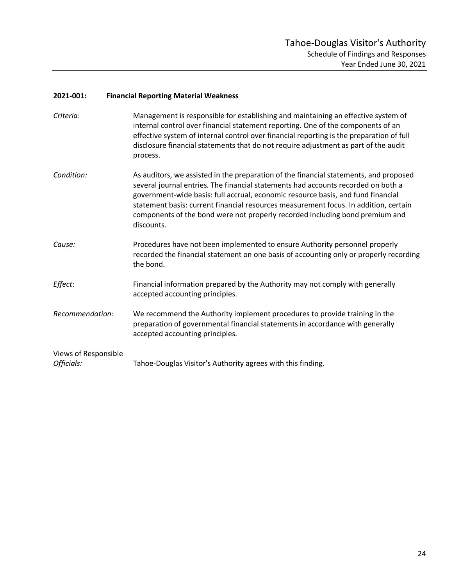#### <span id="page-26-0"></span>**2021-001: Financial Reporting Material Weakness**

- *Criteria*: Management is responsible for establishing and maintaining an effective system of internal control over financial statement reporting. One of the components of an effective system of internal control over financial reporting is the preparation of full disclosure financial statements that do not require adjustment as part of the audit process.
- *Condition:* As auditors, we assisted in the preparation of the financial statements, and proposed several journal entries. The financial statements had accounts recorded on both a government-wide basis: full accrual, economic resource basis, and fund financial statement basis: current financial resources measurement focus. In addition, certain components of the bond were not properly recorded including bond premium and discounts.
- *Cause:* Procedures have not been implemented to ensure Authority personnel properly recorded the financial statement on one basis of accounting only or properly recording the bond.
- *Effect*: Financial information prepared by the Authority may not comply with generally accepted accounting principles.
- *Recommendation:* We recommend the Authority implement procedures to provide training in the preparation of governmental financial statements in accordance with generally accepted accounting principles.

Views of Responsible *Officials:* Tahoe-Douglas Visitor's Authority agrees with this finding.